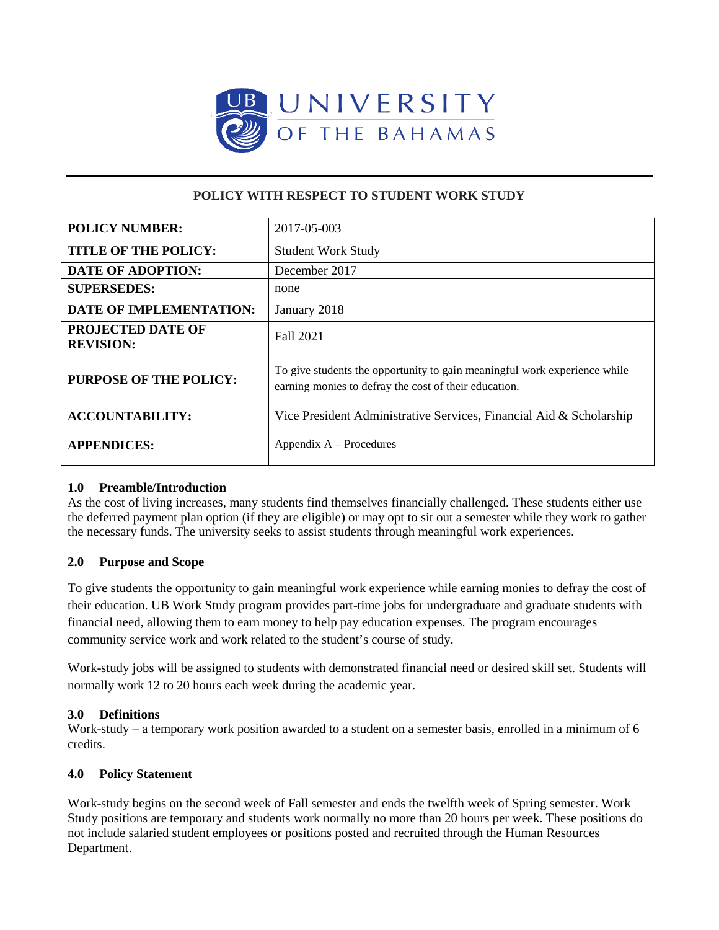

# **POLICY WITH RESPECT TO STUDENT WORK STUDY**

| <b>POLICY NUMBER:</b>                        | 2017-05-003                                                                                                                        |
|----------------------------------------------|------------------------------------------------------------------------------------------------------------------------------------|
| <b>TITLE OF THE POLICY:</b>                  | <b>Student Work Study</b>                                                                                                          |
| <b>DATE OF ADOPTION:</b>                     | December 2017                                                                                                                      |
| <b>SUPERSEDES:</b>                           | none                                                                                                                               |
| <b>DATE OF IMPLEMENTATION:</b>               | January 2018                                                                                                                       |
| <b>PROJECTED DATE OF</b><br><b>REVISION:</b> | Fall 2021                                                                                                                          |
| <b>PURPOSE OF THE POLICY:</b>                | To give students the opportunity to gain meaningful work experience while<br>earning monies to defray the cost of their education. |
| <b>ACCOUNTABILITY:</b>                       | Vice President Administrative Services, Financial Aid & Scholarship                                                                |
| <b>APPENDICES:</b>                           | Appendix $A -$ Procedures                                                                                                          |

# **1.0 Preamble/Introduction**

As the cost of living increases, many students find themselves financially challenged. These students either use the deferred payment plan option (if they are eligible) or may opt to sit out a semester while they work to gather the necessary funds. The university seeks to assist students through meaningful work experiences.

# **2.0 Purpose and Scope**

To give students the opportunity to gain meaningful work experience while earning monies to defray the cost of their education. UB Work Study program provides part-time jobs for undergraduate and graduate students with financial need, allowing them to earn money to help pay education expenses. The program encourages community service work and work related to the student's course of study.

Work-study jobs will be assigned to students with demonstrated financial need or desired skill set. Students will normally work 12 to 20 hours each week during the academic year.

# **3.0 Definitions**

Work-study – a temporary work position awarded to a student on a semester basis, enrolled in a minimum of 6 credits.

# **4.0 Policy Statement**

Work-study begins on the second week of Fall semester and ends the twelfth week of Spring semester. Work Study positions are temporary and students work normally no more than 20 hours per week. These positions do not include salaried student employees or positions posted and recruited through the Human Resources Department.